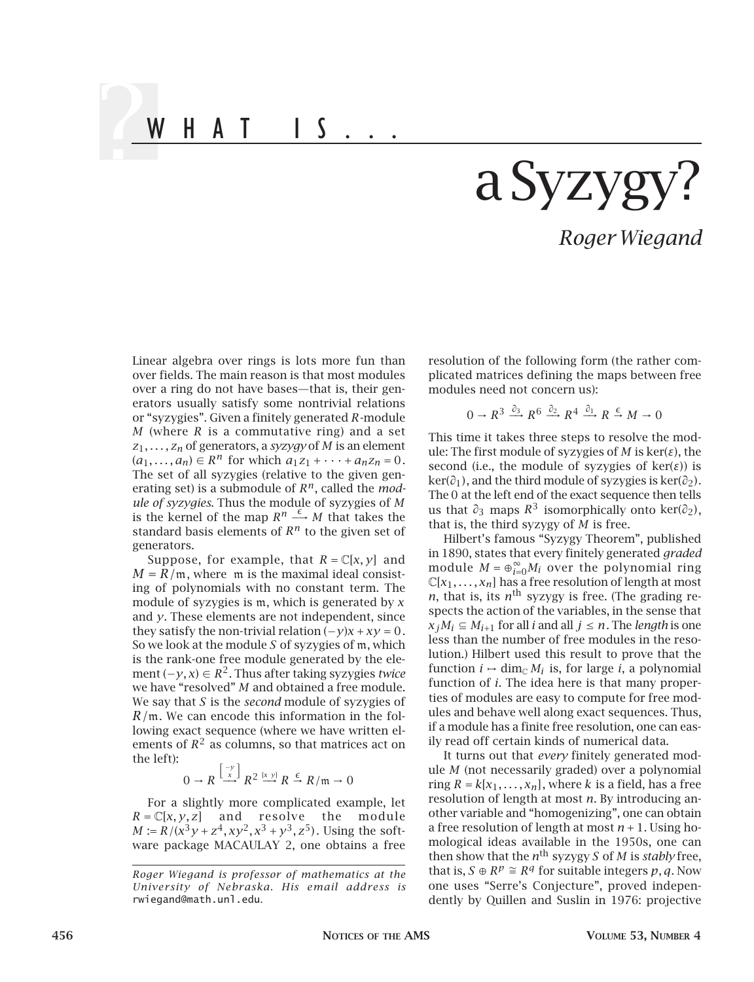WHAT IS...

## a Syzyg

*Roger Wiegand*

Linear algebra over rings is lots more fun than over fields. The main reason is that most modules over a ring do not have bases—that is, their generators usually satisfy some nontrivial relations or "syzygies". Given a finitely generated *R*-module *M* (where *R* is a commutative ring) and a set *z*1*,...,zn* of generators, a *syzygy* of *M* is an element  $(a_1, ..., a_n)$  ∈  $R^n$  for which  $a_1z_1 + ... + a_nz_n = 0$ . The set of all syzygies (relative to the given generating set) is a submodule of *Rn*, called the *module of syzygies*. Thus the module of syzygies of *M* is the kernel of the map  $R^n \xrightarrow{\epsilon} M$  that takes the standard basis elements of *R<sup>n</sup>* to the given set of generators.

Suppose, for example, that  $R = \mathbb{C}[x, y]$  and  $M = R/m$ , where m is the maximal ideal consisting of polynomials with no constant term. The module of syzygies is m, which is generated by *x* and *y*. These elements are not independent, since they satisfy the non-trivial relation  $(-y)x + xy = 0$ . So we look at the module *S* of syzygies of m, which is the rank-one free module generated by the element (−*y,x*) <sup>∈</sup> *<sup>R</sup>*2. Thus after taking syzygies *twice* we have "resolved" *M* and obtained a free module. We say that *S* is the *second* module of syzygies of *R/*m. We can encode this information in the following exact sequence (where we have written elements of  $R^2$  as columns, so that matrices act on the left):

$$
0 \to R \stackrel{\left[\begin{smallmatrix} -y \\ x \end{smallmatrix}\right]}{\longrightarrow} R^2 \stackrel{\left[x \ y\right]}{\longrightarrow} R \stackrel{\epsilon}{\to} R/\mathfrak{m} \to 0
$$

For a slightly more complicated example, let *R* = C[*x, y, z*] and resolve the module  $M := R/(x^3y + z^4, xy^2, x^3 + y^3, z^5)$ . Using the software package MACAULAY 2, one obtains a free

resolution of the following form (the rather complicated matrices defining the maps between free modules need not concern us):

$$
0 \to R^3 \xrightarrow{\partial_3} R^6 \xrightarrow{\partial_2} R^4 \xrightarrow{\partial_1} R \xrightarrow{\epsilon} M \to 0
$$

This time it takes three steps to resolve the module: The first module of syzygies of *M* is ker(*ε*), the second (i.e., the module of syzygies of  $ker(\varepsilon)$ ) is ker(*∂*1), and the third module of syzygies is ker(*∂*2). The 0 at the left end of the exact sequence then tells us that  $\partial_3$  maps  $R^3$  isomorphically onto ker( $\partial_2$ ), that is, the third syzygy of *M* is free.

Hilbert's famous "Syzygy Theorem", published in 1890, states that every finitely generated *graded* module  $M = \bigoplus_{i=0}^{\infty} M_i$  over the polynomial ring  $\mathbb{C}[x_1,\ldots,x_n]$  has a free resolution of length at most *n*, that is, its  $n<sup>th</sup>$  syzygy is free. (The grading respects the action of the variables, in the sense that  $x_iM_i \subseteq M_{i+1}$  for all *i* and all  $j \leq n$ . The *length* is one less than the number of free modules in the resolution.) Hilbert used this result to prove that the function  $i \mapsto \dim_{\mathbb{C}} M_i$  is, for large *i*, a polynomial function of *i*. The idea here is that many properties of modules are easy to compute for free modules and behave well along exact sequences. Thus, if a module has a finite free resolution, one can easily read off certain kinds of numerical data.

It turns out that *every* finitely generated module *M* (not necessarily graded) over a polynomial ring  $R = k[x_1, \ldots, x_n]$ , where *k* is a field, has a free resolution of length at most *n*. By introducing another variable and "homogenizing", one can obtain a free resolution of length at most *n* + 1. Using homological ideas available in the 1950s, one can then show that the  $n^{\text{th}}$  syzygy *S* of *M* is *stably* free, that is, *S* ⊕  $R^p \cong R^q$  for suitable integers *p*, *q*. Now one uses "Serre's Conjecture", proved independently by Quillen and Suslin in 1976: projective

*Roger Wiegand is professor of mathematics at the University of Nebraska. His email address is*  rwiegand@math.unl.edu*.*